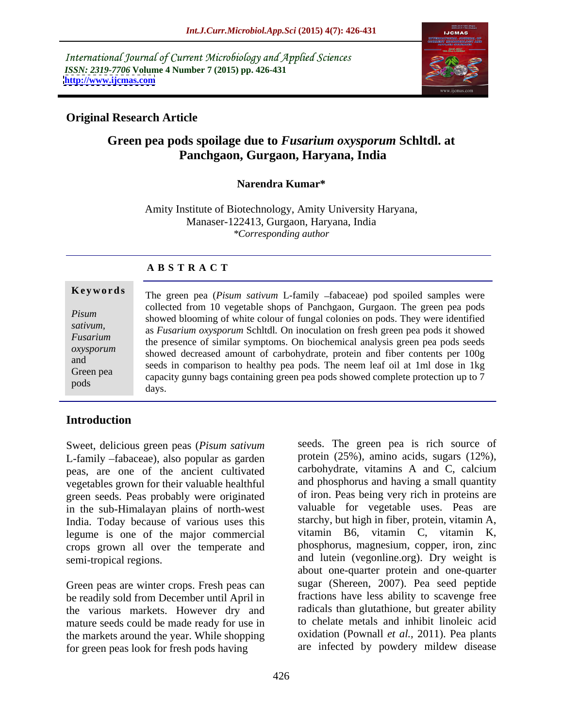International Journal of Current Microbiology and Applied Sciences *ISSN: 2319-7706* **Volume 4 Number 7 (2015) pp. 426-431 <http://www.ijcmas.com>**



## **Original Research Article**

# **Green pea pods spoilage due to** *Fusarium oxysporum* **Schltdl. at Panchgaon, Gurgaon, Haryana, India**

#### **Narendra Kumar\***

Amity Institute of Biotechnology, Amity University Haryana, Manaser-122413, Gurgaon, Haryana, India *\*Corresponding author*

## **A B S T R A C T**

pods

**Keywords** The green pea (*Pisum sativum* L-family -fabaceae) pod spoiled samples were collected from 10 vegetable shops of Panchgaon, Gurgaon. The green pea pods showed blooming of white colour of fungal colonies on pods. They were identified *Pisum*  sativum,<br>as *Fusarium oxysporum* Schltdl. On inoculation on fresh green pea pods it showed Fusarium is the presence of similar symptoms. On biochemical analysis green pea pods seeds the presence of similar symptoms. On biochemical analysis green pea pods seeds showed decreased amount of carbohydrate, protein and fiber contents per 100g *oxysporum* showed decreased amount of earliestly procedured, procedured in the neem leaf oil at 1ml dose in 1kg Green pea<br>
capacity gunny bags containing green pea pods showed complete protection up to 7 days.

# **Introduction**

Sweet, delicious green peas (*Pisum sativum* L-family  $-fabaceae$ ), also popular as garden peas, are one of the ancient cultivated vegetables grown for their valuable healthful green seeds. Peas probably were originated in the sub-Himalayan plains of north-west<br>India. Today because of various uses this starchy, but high in fiber, protein, vitamin A, India. Today because of various uses this starchy, but high in fiber, protein, vitamin A, legume is one of the major commercial vitamin B6, vitamin C, vitamin K, legume is one of the major commercial vitamin B6, vitamin C, vitamin K, crops grown all over the temperate and phosphorus, magnesium, copper, iron, zinc crops grown all over the temperate and

Green peas are winter crops. Fresh peas can be readily sold from December until April in the various markets. However dry and mature seeds could be made ready for use in the markets around the year. While shopping for green peas look for fresh pods having

semi-tropical regions. and lutein (vegonline.org). Dry weight is seeds. The green pea is rich source of protein (25%), amino acids, sugars (12%), carbohydrate, vitamins A and C, calcium and phosphorus and having a small quantity of iron. Peas being very rich in proteins are valuable for vegetable uses. Peas are starchy, but high in fiber, protein, vitamin A, vitamin B6, vitamin C, vitamin K, phosphorus, magnesium, copper, iron, zinc about one-quarter protein and one-quarter sugar (Shereen, 2007). Pea seed peptide fractions have less ability to scavenge free radicals than glutathione, but greater ability to chelate metals and inhibit linoleic acid oxidation (Pownall *et al.,* 2011). Pea plants are infected by powdery mildew disease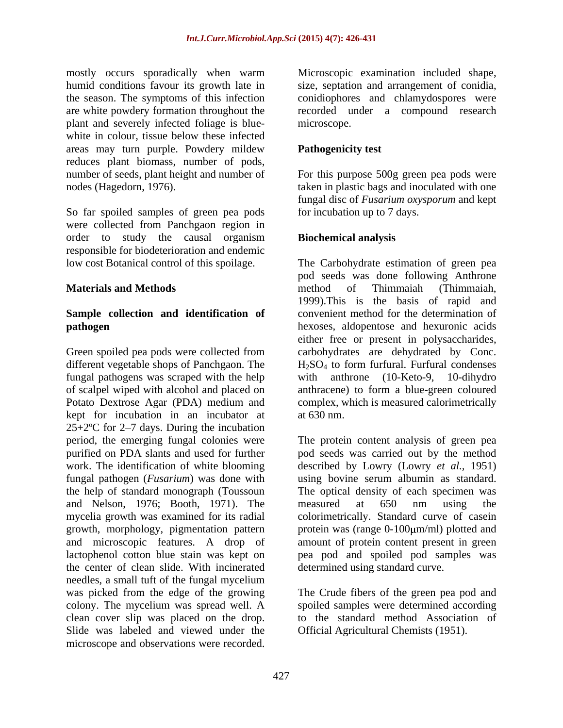mostly occurs sporadically when warm Microscopic examination included shape, humid conditions favour its growth late in size, septation and arrangement of conidia, the season. The symptoms of this infection are white powdery formation throughout the recorded under a compound research plant and severely infected foliage is blue white in colour, tissue below these infected areas may turn purple. Powdery mildew reduces plant biomass, number of pods, number of seeds, plant height and number of nodes (Hagedorn, 1976). taken in plastic bags and inoculated with one

So far spoiled samples of green pea pods were collected from Panchgaon region in order to study the causal organism responsible for biodeterioration and endemic

# **Sample collection and identification of**

Green spoiled pea pods were collected from carbohydrates are dehydrated by Conc. different vegetable shops of Panchgaon. The  $H_2SO_4$  to form furfural. Furfural condenses fungal pathogens was scraped with the help with anthrone (10-Keto-9, 10-dihydro of scalpel wiped with alcohol and placed on anthracene) to form a blue-green coloured Potato Dextrose Agar (PDA) medium and complex, which is measured calorimetrically kept for incubation in an incubator at at 630 nm.  $25+2$ <sup>o</sup>C for 2–7 days. During the incubation and Nelson, 1976; Booth, 1971). The the center of clean slide. With incinerated needles, a small tuft of the fungal mycelium was picked from the edge of the growing The Crude fibers of the green pea pod and colony. The mycelium was spread well. A clean cover slip was placed on the drop. to the standard method Association of Slide was labeled and viewed under the model occurs sponsorely controllate when were recorded. With the sound included shape, and the sound inclusion included shape, and the sound inclusion inclusion inclusion in the sympatom of the sympatom of the sympatom of

microscope.

## **Pathogenicity test**

For this purpose 500g green pea pods were fungal disc of *Fusarium oxysporum* and kept for incubation up to 7 days.

## **Biochemical analysis**

low cost Botanical control of this spoilage. The Carbohydrate estimation of green pea **Materials and Methods pathogen** hexoses, aldopentose and hexuronic acids pod seeds was done following Anthrone method of Thimmaiah (Thimmaiah, 1999).This is the basis of rapid and convenient method for the determination of either free or present in polysaccharides, at 630 nm.

period, the emerging fungal colonies were The protein content analysis of green pea purified on PDA slants and used for further pod seeds was carried out by the method work. The identification of white blooming described by Lowry (Lowry *et al.,* 1951) fungal pathogen (*Fusarium*) was done with using bovine serum albumin as standard. the help of standard monograph (Toussoun The optical density of each specimen was mycelia growth was examined for its radial colorimetrically. Standard curve of casein growth, morphology, pigmentation pattern protein was (range 0-100  $\mu$ m/ml) plotted and and microscopic features. A drop of amount of protein content present in green lactophenol cotton blue stain was kept on pea pod and spoiled pod samples was measured at 650 nm using the determined using standard curve.

> spoiled samples were determined according Official Agricultural Chemists (1951).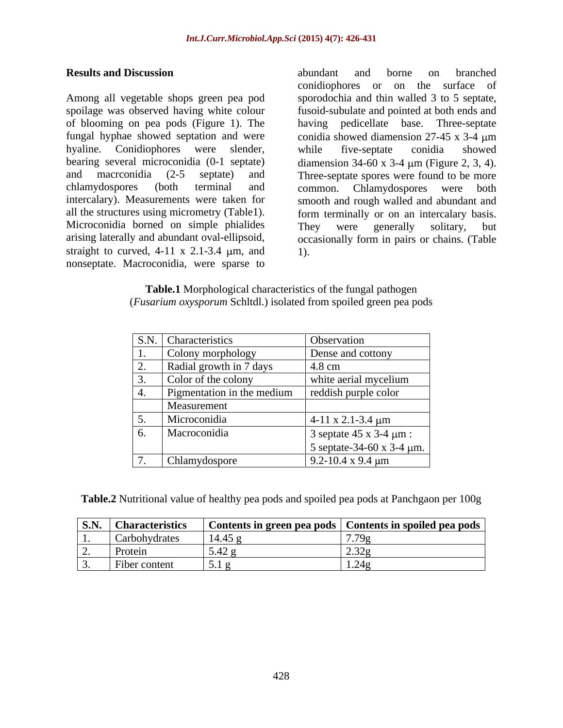Among all vegetable shops green pea pod sporodochia and thin walled 3 to 5 septate, spoilage was observed having white colour fusoid-subulate and pointed at both ends and of blooming on pea pods (Figure 1). The having pedicellate base. Three-septate fungal hyphae showed septation and were conidia showed diamension 27-45 x 3-4 m hyaline. Conidiophores were slender, while five-septate conidia showed bearing several microconidia (0-1 septate) diamension 34-60 x 3-4 μm (Figure 2, 3, 4). and macrconidia (2-5 septate) and Three-septate spores were found to be more chlamydospores (both terminal and common. Chlamydospores were both intercalary). Measurements were taken for smooth and rough walled and abundant and all the structures using micrometry (Table1). form terminally or on an intercalary basis. Microconidia borned on simple phialides They were generally solitary, but arising laterally and abundant oval-ellipsoid, occasionally form in pairs or chains. (Table straight to curved,  $4-11 \times 2.1-3.4 \mu m$ , and 1). nonseptate. Macroconidia, were sparse to

**Results and Discussion abundant** and **borne** on **branched** abundant and borne on branched conidiophores or on the surface of while five-septate conidia showed They were generally solitary, but 1).

| Table.1<br>I Morphological characteristics of the fungal pathogen          |  |
|----------------------------------------------------------------------------|--|
| ( <i>Fusarium oxysporum</i> Schitdl.) isolated from spoiled green pea pods |  |

| S.N. Characteristics       | <b>Observation</b>                  |
|----------------------------|-------------------------------------|
| Colony morphology          | Dense and cottony                   |
|                            |                                     |
| Radial growth in 7 days    | $4.8 \text{ cm}$                    |
| Color of the colony        | white aerial mycelium               |
| Pigmentation in the medium | reddish purple color                |
| Measurement                |                                     |
| Microconidia               | $4-11 \times 2.1-3.4 \mu m$         |
| Macroconidia               | 3 septate $45 \times 3 - 4 \mu m$ : |
|                            | 5 septate-34-60 x 3-4 $\mu$ m.      |
| Chlamydospore              | 9.2-10.4 x 9.4 $\mu$ m              |

| <b>Table.2</b> Nutritional<br>$\sim$ nal value of healthy pea pods and spoiled pea pods at Panchgaon per $10v5$ |  |
|-----------------------------------------------------------------------------------------------------------------|--|
|                                                                                                                 |  |

| S.N.    | 'haracteristics | Contents in green pea pods | Contents in spoiled pea pods    |
|---------|-----------------|----------------------------|---------------------------------|
| $\cdot$ | Carbohydrates   | 14.45                      | 70<br>,,,,                      |
| ∼.      | Protein         | 3.44                       | $\ddot{\phantom{1}}$<br>. ت     |
|         | Fiber content   | $J \cdot I$                | $\overline{1}$ . $\overline{2}$ |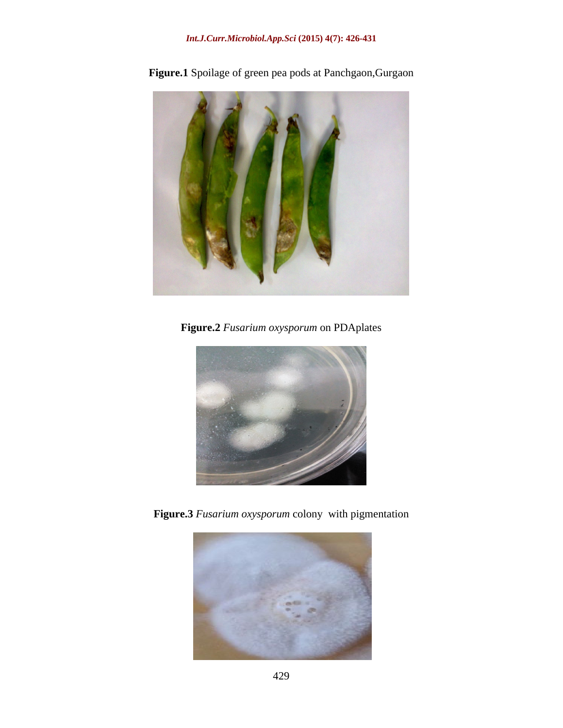## *Int.J.Curr.Microbiol.App.Sci* **(2015) 4(7): 426-431**



**Figure.1** Spoilage of green pea pods at Panchgaon,Gurgaon

**Figure.2** *Fusarium oxysporum* on PDAplates



**Figure.3** *Fusarium oxysporum* colony with pigmentation

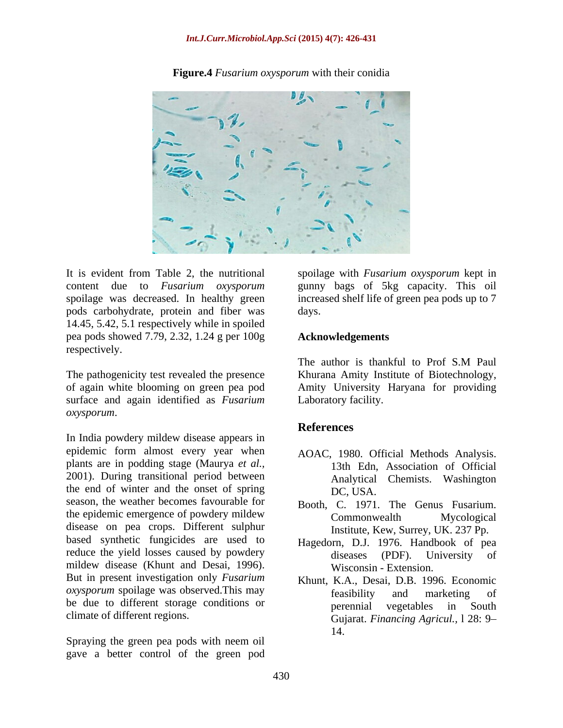#### *Int.J.Curr.Microbiol.App.Sci* **(2015) 4(7): 426-431**



**Figure.4** *Fusarium oxysporum* with their conidia

It is evident from Table 2, the nutritional spoilage with *Fusarium oxysporum* kept in content due to *Fusarium oxysporum* gunny bags of 5kg capacity. This oil spoilage was decreased. In healthy green pods carbohydrate, protein and fiber was 14.45, 5.42, 5.1 respectively while in spoiled pea pods showed 7.79, 2.32, 1.24 g per 100g respectively.

The pathogenicity test revealed the presence Khurana Amity Institute of Biotechnology, of again white blooming on green pea pod Amity University Haryana for providing surface and again identified as *Fusarium oxysporum*.

In India powdery mildew disease appears in epidemic form almost every year when plants are in podding stage (Maurya *et al.,* 2001). During transitional period between the end of winter and the onset of spring DC, USA. season, the weather becomes favourable for Booth, C. 1971. The Genus Fusarium. the epidemic emergence of powdery mildew Commonwealth Mycological disease on pea crops. Different sulphur based synthetic fungicides are used to reduce the yield losses caused by powdery diseases (PDF). University of mildew disease (Khunt and Desai, 1996). But in present investigation only *Fusarium oxysporum* spoilage was observed.This may feasibility and marketing of be due to different storage conditions or **performulate the strategies** in South

Spraying the green pea pods with neem oil gave a better control of the green pod

increased shelf life of green pea pods up to 7 days. The contract of the contract of the contract of the contract of the contract of the contract of the contract of the contract of the contract of the contract of the contract of the contract of the contract of the cont

#### **Acknowledgements**

The author is thankful to Prof S.M Paul Laboratory facility.

#### **References**

- AOAC, 1980. Official Methods Analysis. 13th Edn, Association of Official Analytical Chemists. Washington DC, USA.
- Commonwealth Mycological Institute, Kew, Surrey, UK. 237 Pp.
- Hagedorn, D.J. 1976. Handbook of pea diseases (PDF). University Wisconsin - Extension.
- climate of different regions. Gujarat. *Financing Agricul.,* l 28: 9 Khunt, K.A., Desai, D.B. 1996. Economic feasibility and marketing of perennial vegetables in South 14.